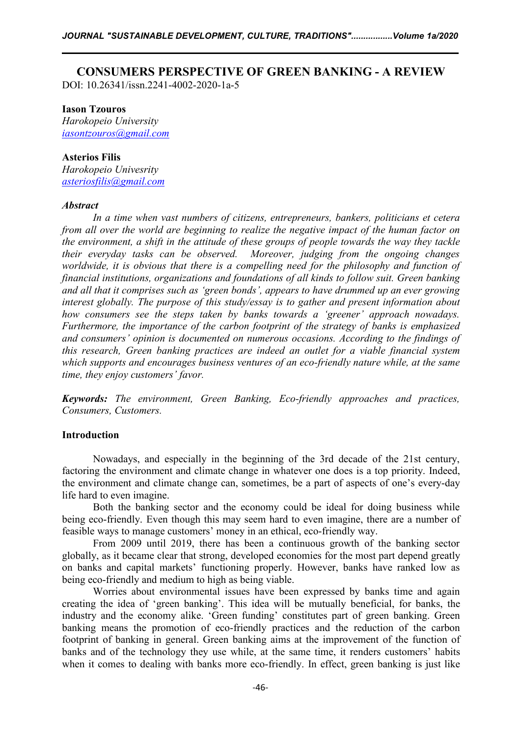# **CONSUMERS PERSPECTIVE OF GREEN BANKING - A REVIEW**

DOI: 10.26341/issn.2241-4002-2020-1a-5

#### **Iason Tzouros**

*Harokopeio University [iasontzouros@gmail.com](mailto:iasontzouros@gmail.com)*

## **Asterios Filis**

*Harokopeio Univesrity [asteriosfilis@gmail.com](mailto:asteriosfilis@gmail.com)*

#### *Abstract*

*In a time when vast numbers of citizens, entrepreneurs, bankers, politicians et cetera from all over the world are beginning to realize the negative impact of the human factor on the environment, a shift in the attitude of these groups of people towards the way they tackle their everyday tasks can be observed. Moreover, judging from the ongoing changes worldwide, it is obvious that there is a compelling need for the philosophy and function of financial institutions, organizations and foundations of all kinds to follow suit.Green banking and all that it comprises such as 'green bonds', appears to have drummed up an ever growing interest globally. The purpose of this study/essay isto gather and present information about* Furthermore, the importance of the carbon footprint of the strategy of banks is emphasized *and consumers' opinion is documented on numerous occasions. According to the findings of this research, Green banking practices are indeed an outlet for a viable financial system which supports and encourages business ventures of an eco-friendly nature while, at the same time, they enjoy customers' favor.*

*Keywords: The environment, Green Banking, Eco-friendly approaches and practices, Consumers, Customers.*

## **Introduction**

Nowadays, and especially in the beginning of the 3rd decade of the 21st century, factoring the environment and climate change in whatever one does is a top priority. Indeed, the environment and climate change can, sometimes, be a part of aspects of one's every-day life hard to even imagine.

Both the banking sector and the economy could be ideal for doing business while being eco-friendly. Even though this may seem hard to even imagine, there are a number of feasible ways to manage customers' money in an ethical, eco-friendly way.

From 2009 until 2019, there has been a continuous growth of the banking sector globally, as it became clear that strong, developed economies for the most part depend greatly on banks and capital markets' functioning properly. However, banks have ranked low as being eco-friendly and medium to high as being viable.

Worries about environmental issues have been expressed by banks time and again creating the idea of 'green banking'. This idea will be mutually beneficial, for banks, the industry and the economy alike. 'Green funding' constitutes part of green banking. Green banking means the promotion of eco-friendly practices and the reduction of the carbon footprint of banking in general. Green banking aims at the improvement of the function of banks and of the technology they use while, at the same time, it renders customers' habits when it comes to dealing with banks more eco-friendly. In effect, green banking is just like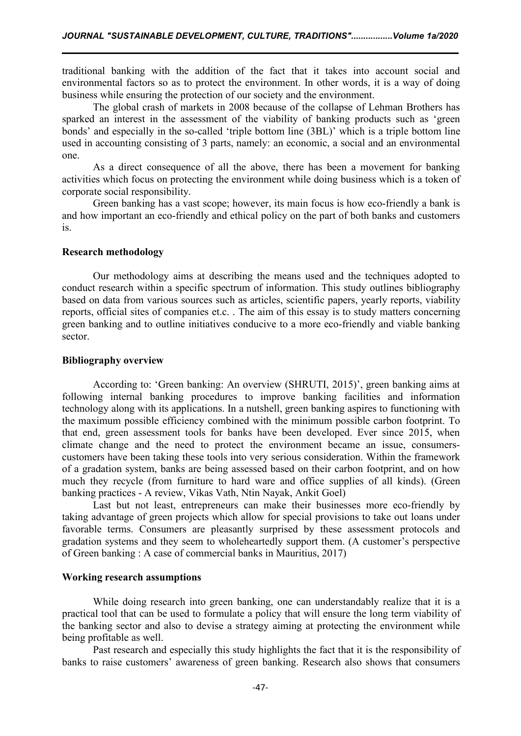traditional banking with the addition of the fact that it takes into account social and environmental factors so as to protect the environment. In other words, it is a way of doing business while ensuring the protection of our society and the environment.

The global crash of markets in 2008 because of the collapse of Lehman Brothers has sparked an interest in the assessment of the viability of banking products such as 'green bonds' and especially in the so-called 'triple bottom line (3BL)' which is a triple bottom line used in accounting consisting of 3 parts, namely: an economic, a social and an environmental one.

As a direct consequence of all the above, there has been a movement for banking activities which focus on protecting the environment while doing business which is a token of corporate social responsibility.

Green banking has a vast scope; however, its main focus is how eco-friendly a bank is and how important an eco-friendly and ethical policy on the part of both banks and customers is.

#### **Research methodology**

Our methodology aims at describing the means used and the techniques adopted to conduct research within a specific spectrum of information. This study outlines bibliography based on data from various sources such as articles, scientific papers, yearly reports, viability reports, official sites of companies et.c. . The aim of this essay is to study matters concerning green banking and to outline initiatives conducive to a more eco-friendly and viable banking sector.

#### **Bibliography overview**

According to: 'Green banking: An overview (SHRUTI, 2015)', green banking aims at following internal banking procedures to improve banking facilities and information technology along with its applications. In a nutshell, green banking aspires to functioning with the maximum possible efficiency combined with the minimum possible carbon footprint. To that end, green assessment tools for banks have been developed. Ever since 2015, when climate change and the need to protect the environment became an issue, consumers customers have been taking these tools into very serious consideration. Within the framework of a gradation system, banks are being assessed based on their carbon footprint, and on how much they recycle (from furniture to hard ware and office supplies of all kinds). (Green banking practices - A review, Vikas Vath, Ntin Nayak, Ankit Goel)

Last but not least, entrepreneurs can make their businesses more eco-friendly by taking advantage of green projects which allow for special provisions to take out loans under favorable terms. Consumers are pleasantly surprised by these assessment protocols and gradation systems and they seem to wholeheartedly support them. (A customer's perspective of Green banking : A case of commercial banks in Mauritius, 2017)

## **Working research assumptions**

While doing research into green banking, one can understandably realize that it is a practical tool that can be used to formulate a policy that will ensure the long term viability of the banking sector and also to devise a strategy aiming at protecting the environment while being profitable as well.

Past research and especially this study highlights the fact that it is the responsibility of banks to raise customers' awareness of green banking. Research also shows that consumers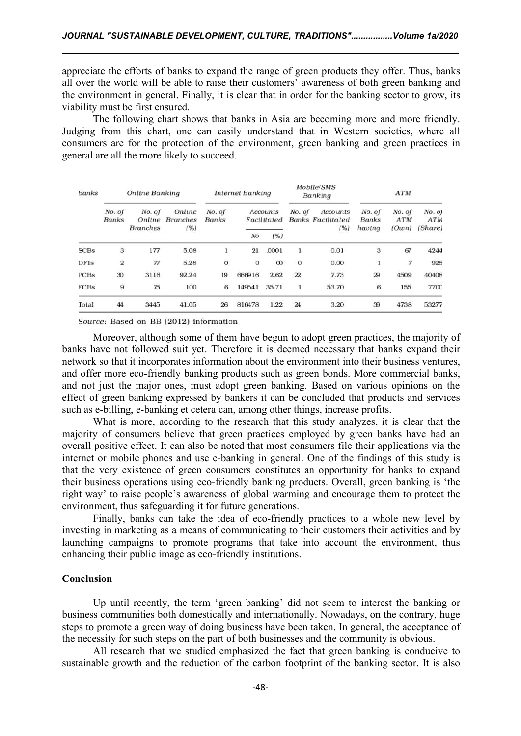appreciate the efforts of banks to expand the range of green products they offer. Thus, banks all over the world will be able to raise their customers' awareness of both green banking and the environment in general. Finally, it is clear that in order for the banking sector to grow, its viability must be first ensured.

The following chart shows that banks in Asia are becoming more and more friendly. Judging from this chart, one can easily understand that in Western societies, where all consumers are for the protection of the environment, green banking and green practices in general are all the more likely to succeed.

| Banks       | Online Banking         |                                     |                                   | <b>Internet Banking</b> |                         |          | Mobile/SMS<br>Banking |                                             | <b>ATM</b>                       |                               |                                 |
|-------------|------------------------|-------------------------------------|-----------------------------------|-------------------------|-------------------------|----------|-----------------------|---------------------------------------------|----------------------------------|-------------------------------|---------------------------------|
|             | No. of<br><b>Banks</b> | No. of<br>Online<br><b>Branches</b> | Online<br><b>Branches</b><br>(% ) | No. of<br><b>Banks</b>  | Accounts<br>Facilitated |          | No. of                | Accounts<br><b>Banks Facilitated</b><br>(%) | No. of<br><b>Banks</b><br>having | No. of<br><b>ATM</b><br>(Own) | No. of<br><b>ATM</b><br>(Share) |
|             |                        |                                     |                                   |                         | No                      | (%)      |                       |                                             |                                  |                               |                                 |
| <b>SCBs</b> | 3                      | 177                                 | 5.08                              | 1                       | 21                      | .0001    |                       | 0.01                                        | 3                                | 67                            | 4244                            |
| <b>DFIs</b> | 2                      | 77                                  | 5.28                              | $\Omega$                | $\Omega$                | $\infty$ | $\mathbf{0}$          | 0.00                                        | ı                                | 7                             | 925                             |
| PCBs        | 30                     | 3116                                | 92.24                             | 19                      | 666916                  | 2.62     | 22                    | 7.73                                        | 29                               | 4509                          | 40408                           |
| FCBs        | 9                      | 75                                  | 100                               | 6                       | 149541                  | 35.71    |                       | 53.70                                       | 6                                | 155                           | 7700                            |
| Total       | 44                     | 3445                                | 41.05                             | 26                      | 816478                  | 1.22     | 24                    | 3.20                                        | 39                               | 4738                          | 53277                           |

Source: Based on BB (2012) information

Moreover, although some of them have begun to adopt green practices, the majority of banks have not followed suit yet. Therefore it is deemed necessary that banks expand their network so that it incorporates information about the environment into their business ventures, and offer more eco-friendly banking products such as green bonds. More commercial banks, and not just the major ones, must adopt green banking. Based on various opinions on the effect of green banking expressed by bankers it can be concluded that products and services such as e-billing, e-banking et cetera can, among other things, increase profits.

What is more, according to the research that this study analyzes, it is clear that the majority of consumers believe that green practices employed by green banks have had an overall positive effect. It can also be noted that most consumers file their applications via the internet or mobile phones and use e-banking in general. One of the findings of this study is that the very existence of green consumers constitutes an opportunity for banks to expand their business operations using eco-friendly banking products. Overall, green banking is 'the right way' to raise people's awareness of global warming and encourage them to protect the environment, thus safeguarding it for future generations.

Finally, banks can take the idea of eco-friendly practices to a whole new level by investing in marketing as a means of communicating to their customers their activities and by launching campaigns to promote programs that take into account the environment, thus enhancing their public image as eco-friendly institutions.

#### **Conclusion**

Up until recently, the term 'green banking' did not seem to interest the banking or business communities both domestically and internationally. Nowadays, on the contrary, huge steps to promote a green way of doing business have been taken. In general, the acceptance of the necessity for such steps on the part of both businesses and the community is obvious.

All research that we studied emphasized the fact that green banking is conducive to sustainable growth and the reduction of the carbon footprint of the banking sector. It is also